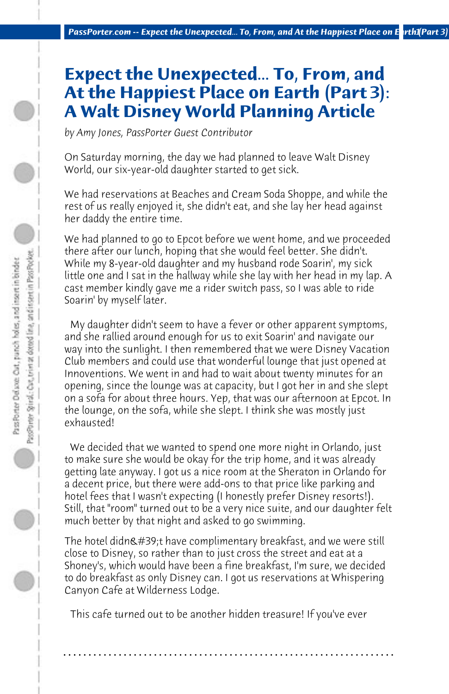## **Expect the Unexpected... To, From, and At the Happiest Place on Earth (Part 3): A Walt Disney World Planning Article**

*by Amy Jones, PassPorter Guest Contributor*

On Saturday morning, the day we had planned to leave Walt Disney World, our six-year-old daughter started to get sick.

We had reservations at Beaches and Cream Soda Shoppe, and while the rest of us really enjoyed it, she didn't eat, and she lay her head against her daddy the entire time.

We had planned to go to Epcot before we went home, and we proceeded there after our lunch, hoping that she would feel better. She didn't. While my 8-year-old daughter and my husband rode Soarin', my sick little one and I sat in the hallway while she lay with her head in my lap. A cast member kindly gave me a rider switch pass, so I was able to ride Soarin' by myself later.

 My daughter didn't seem to have a fever or other apparent symptoms, and she rallied around enough for us to exit Soarin' and navigate our way into the sunlight. I then remembered that we were Disney Vacation Club members and could use that wonderful lounge that just opened at Innoventions. We went in and had to wait about twenty minutes for an opening, since the lounge was at capacity, but I got her in and she slept on a sofa for about three hours. Yep, that was our afternoon at Epcot. In the lounge, on the sofa, while she slept. I think she was mostly just exhausted!

 We decided that we wanted to spend one more night in Orlando, just to make sure she would be okay for the trip home, and it was already getting late anyway. I got us a nice room at the Sheraton in Orlando for a decent price, but there were add-ons to that price like parking and hotel fees that I wasn't expecting (I honestly prefer Disney resorts!). Still, that "room" turned out to be a very nice suite, and our daughter felt much better by that night and asked to go swimming.

The hotel didn&#39:t have complimentary breakfast, and we were still close to Disney, so rather than to just cross the street and eat at a Shoney's, which would have been a fine breakfast, I'm sure, we decided to do breakfast as only Disney can. I got us reservations at Whispering Canyon Cafe at Wilderness Lodge.

 This cafe turned out to be another hidden treasure! If you've ever

**. . . . . . . . . . . . . . . . . . . . . . . . . . . . . . . . . . . . . . . . . . . . . . . . . . . . . . . . . . . . . . . . . .**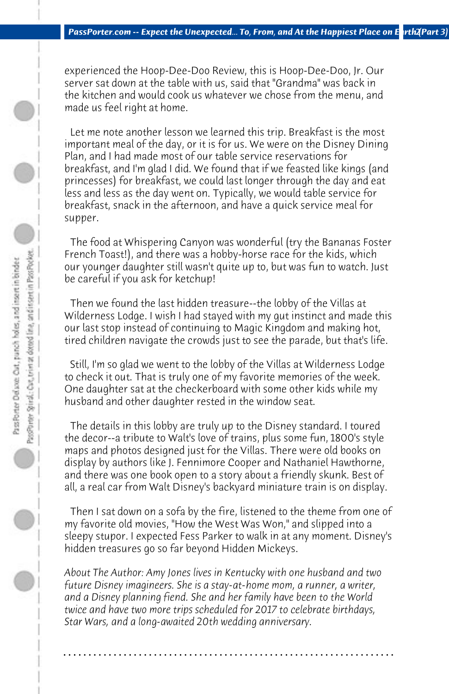experienced the Hoop-Dee-Doo Review, this is Hoop-Dee-Doo, Jr. Our server sat down at the table with us, said that "Grandma" was back in the kitchen and would cook us whatever we chose from the menu, and made us feel right at home.

 Let me note another lesson we learned this trip. Breakfast is the most important meal of the day, or it is for us. We were on the Disney Dining Plan, and I had made most of our table service reservations for breakfast, and I'm glad I did. We found that if we feasted like kings (and princesses) for breakfast, we could last longer through the day and eat less and less as the day went on. Typically, we would table service for breakfast, snack in the afternoon, and have a quick service meal for supper.

 The food at Whispering Canyon was wonderful (try the Bananas Foster French Toast!), and there was a hobby-horse race for the kids, which our younger daughter still wasn't quite up to, but was fun to watch. Just be careful if you ask for ketchup!

 Then we found the last hidden treasure--the lobby of the Villas at Wilderness Lodge. I wish I had stayed with my gut instinct and made this our last stop instead of continuing to Magic Kingdom and making hot, tired children navigate the crowds just to see the parade, but that's life.

 Still, I'm so glad we went to the lobby of the Villas at Wilderness Lodge to check it out. That is truly one of my favorite memories of the week. One daughter sat at the checkerboard with some other kids while my husband and other daughter rested in the window seat.

 The details in this lobby are truly up to the Disney standard. I toured the decor--a tribute to Walt's love of trains, plus some fun, 1800's style maps and photos designed just for the Villas. There were old books on display by authors like J. Fennimore Cooper and Nathaniel Hawthorne, and there was one book open to a story about a friendly skunk. Best of all, a real car from Walt Disney's backyard miniature train is on display.

 Then I sat down on a sofa by the fire, listened to the theme from one of my favorite old movies, "How the West Was Won," and slipped into a sleepy stupor. I expected Fess Parker to walk in at any moment. Disney's hidden treasures go so far beyond Hidden Mickeys.

*About The Author: Amy Jones lives in Kentucky with one husband and two future Disney imagineers. She is a stay-at-home mom, a runner, a writer, and a Disney planning fiend. She and her family have been to the World twice and have two more trips scheduled for 2017 to celebrate birthdays, Star Wars, and a long-awaited 20th wedding anniversary.*

**. . . . . . . . . . . . . . . . . . . . . . . . . . . . . . . . . . . . . . . . . . . . . . . . . . . . . . . . . . . . . . . . . .**